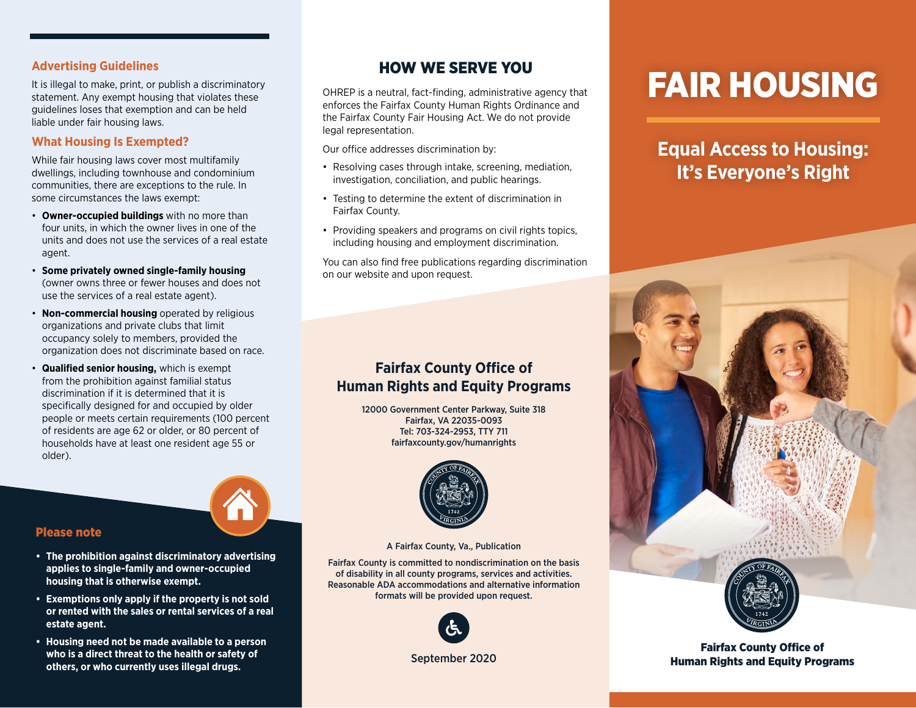## **Advertising Guidelines**

It is illegal to make, print, or publish a discriminatory statement. Any exempt housing that violates these guidelines loses that exemption and can be held liable under fair housing laws.

## **What Housing Is Exempted?**

While fair housing laws cover most multifamily dwellings, including townhouse and condominium communities, there are exceptions to the rule. In some circumstances the laws exempt:

- **Owner-occupied buildings** with no more than four units, in which the owner lives in one of the units and does not use the services of a real estate agent.
- **Some privately owned single-family housing** (owner owns three or fewer houses and does not use the services of a real estate agent).
- **Non-commercial housing** operated by religious organizations and private clubs that limit occupancy solely to members, provided the organization does not discriminate based on race.
- **Qualified senior housing,** which is exempt from the prohibition against familial status discrimination if it is determined that it is specifically designed for and occupied by older people or meets certain requirements (100 percent of residents are age 62 or older, or 80 percent of households have at least one resident age 55 or older).



## Please note

- **• The prohibition against discriminatory advertising applies to single-family and owner-occupied housing that is otherwise exempt.**
- **• Exemptions only apply if the property is not sold or rented with the sales or rental services of a real estate agent.**
- **• Housing need not be made available to a person who is a direct threat to the health or safety of others, or who currently uses illegal drugs.**

# HOW WE SERVE YOU

OHREP is a neutral, fact-finding, administrative agency that enforces the Fairfax County Human Rights Ordinance and the Fairfax County Fair Housing Act. We do not provide legal representation.

Our office addresses discrimination by:

- Resolving cases through intake, screening, mediation, investigation, conciliation, and public hearings.
- Testing to determine the extent of discrimination in Fairfax County.
- Providing speakers and programs on civil rights topics, including housing and employment discrimination.

You can also find free publications regarding discrimination on our website and upon request.

## **Fairfax County Office of Human Rights and Equity Programs**

12000 Government Center Parkway, Suite 318 Fairfax, VA 22035-0093 Tel: 703-324-2953, TTY 711 [fairfaxcounty.gov/humanrights](http://fairfaxcounty.gov/humanrights)



A Fairfax County, Va., Publication

Fairfax County is committed to nondiscrimination on the basis of disability in all county programs, services and activities. Reasonable ADA accommodations and alternative information formats will be provided upon request.



September 2020

# FAIR HOUSING

**Equal Access to Housing: It's Everyone's Right**



Fairfax County Office of Human Rights and Equity Programs